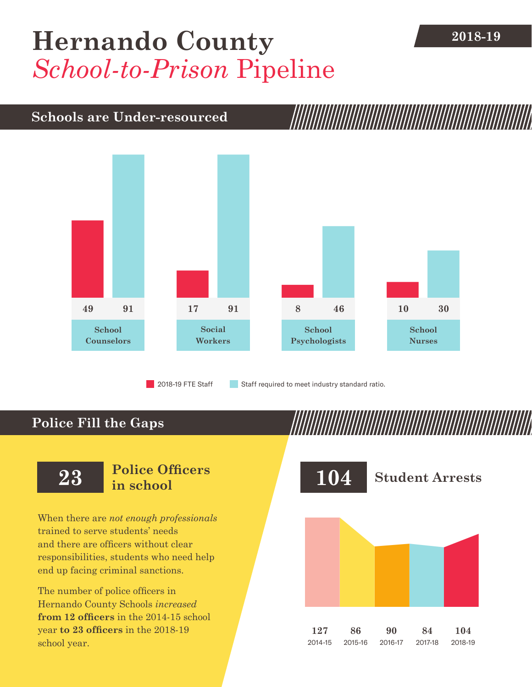## **[Hernando County](DBF_County) 2018-19** *School-to-Prison* Pipeline

## **Schools are Under-resourced**



2018-19 FTE Staff **Staff required to meet industry standard ratio.** 

## **Police Fill the Gaps**

When there are *not enough professionals* trained to serve students' needs and there are officers without clear responsibilities, students who need help end up facing criminal sanctions.

The number of police officers in [Hernando County](DBF_County) Schools *increased* **from [12](DBF_PO1415) officers** in the 2014-15 school year **to [23](DBF_PO) officers** in the 2018-19 school year.